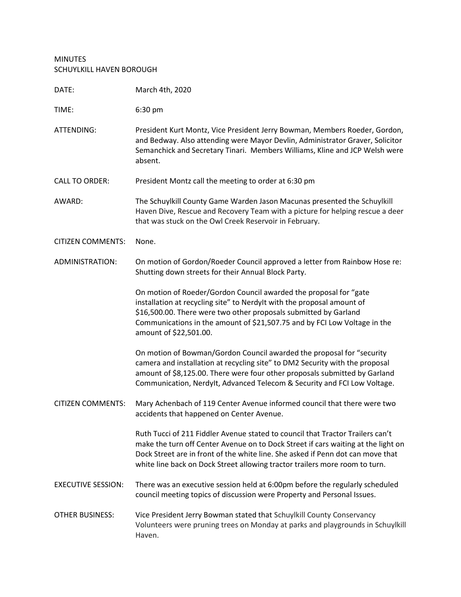## MINUTES SCHUYLKILL HAVEN BOROUGH

| DATE:                     | March 4th, 2020                                                                                                                                                                                                                                                                                                                       |
|---------------------------|---------------------------------------------------------------------------------------------------------------------------------------------------------------------------------------------------------------------------------------------------------------------------------------------------------------------------------------|
| TIME:                     | 6:30 pm                                                                                                                                                                                                                                                                                                                               |
| ATTENDING:                | President Kurt Montz, Vice President Jerry Bowman, Members Roeder, Gordon,<br>and Bedway. Also attending were Mayor Devlin, Administrator Graver, Solicitor<br>Semanchick and Secretary Tinari. Members Williams, Kline and JCP Welsh were<br>absent.                                                                                 |
| <b>CALL TO ORDER:</b>     | President Montz call the meeting to order at 6:30 pm                                                                                                                                                                                                                                                                                  |
| AWARD:                    | The Schuylkill County Game Warden Jason Macunas presented the Schuylkill<br>Haven Dive, Rescue and Recovery Team with a picture for helping rescue a deer<br>that was stuck on the Owl Creek Reservoir in February.                                                                                                                   |
| <b>CITIZEN COMMENTS:</b>  | None.                                                                                                                                                                                                                                                                                                                                 |
| ADMINISTRATION:           | On motion of Gordon/Roeder Council approved a letter from Rainbow Hose re:<br>Shutting down streets for their Annual Block Party.                                                                                                                                                                                                     |
|                           | On motion of Roeder/Gordon Council awarded the proposal for "gate<br>installation at recycling site" to Nerdylt with the proposal amount of<br>\$16,500.00. There were two other proposals submitted by Garland<br>Communications in the amount of \$21,507.75 and by FCI Low Voltage in the<br>amount of \$22,501.00.                |
|                           | On motion of Bowman/Gordon Council awarded the proposal for "security<br>camera and installation at recycling site" to DM2 Security with the proposal<br>amount of \$8,125.00. There were four other proposals submitted by Garland<br>Communication, Nerdylt, Advanced Telecom & Security and FCI Low Voltage.                       |
| <b>CITIZEN COMMENTS:</b>  | Mary Achenbach of 119 Center Avenue informed council that there were two<br>accidents that happened on Center Avenue.                                                                                                                                                                                                                 |
|                           | Ruth Tucci of 211 Fiddler Avenue stated to council that Tractor Trailers can't<br>make the turn off Center Avenue on to Dock Street if cars waiting at the light on<br>Dock Street are in front of the white line. She asked if Penn dot can move that<br>white line back on Dock Street allowing tractor trailers more room to turn. |
| <b>EXECUTIVE SESSION:</b> | There was an executive session held at 6:00pm before the regularly scheduled<br>council meeting topics of discussion were Property and Personal Issues.                                                                                                                                                                               |
| <b>OTHER BUSINESS:</b>    | Vice President Jerry Bowman stated that Schuylkill County Conservancy<br>Volunteers were pruning trees on Monday at parks and playgrounds in Schuylkill<br>Haven.                                                                                                                                                                     |